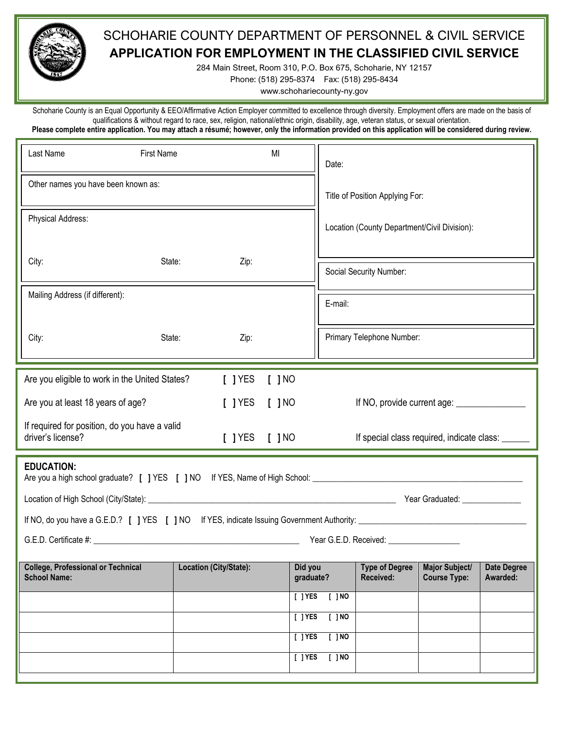

## SCHOHARIE COUNTY DEPARTMENT OF PERSONNEL & CIVIL SERVICE **APPLICATION FOR EMPLOYMENT IN THE CLASSIFIED CIVIL SERVICE**

284 Main Street, Room 310, P.O. Box 675, Schoharie, NY 12157

Phone: (518) 295-8374 Fax: (518) 295-8434

www.schohariecounty-ny.gov

Schoharie County is an Equal Opportunity & EEO/Affirmative Action Employer committed to excellence through diversity. Employment offers are made on the basis of qualifications & without regard to race, sex, religion, national/ethnic origin, disability, age, veteran status, or sexual orientation. **Please complete entire application. You may attach a résumé; however, only the information provided on this application will be considered during review.** j

| <b>First Name</b>                             | MI                                             |             | Date:                                                      |                                                                               |                                              |                                                                                                                                |
|-----------------------------------------------|------------------------------------------------|-------------|------------------------------------------------------------|-------------------------------------------------------------------------------|----------------------------------------------|--------------------------------------------------------------------------------------------------------------------------------|
| Other names you have been known as:           |                                                |             | Title of Position Applying For:                            |                                                                               |                                              |                                                                                                                                |
| Physical Address:                             |                                                |             | Location (County Department/Civil Division):               |                                                                               |                                              |                                                                                                                                |
| City:<br>State:<br>Zip:                       |                                                |             | Social Security Number:                                    |                                                                               |                                              |                                                                                                                                |
| Mailing Address (if different):               |                                                |             | E-mail:                                                    |                                                                               |                                              |                                                                                                                                |
| State:<br>Zip:                                |                                                |             |                                                            |                                                                               |                                              |                                                                                                                                |
|                                               |                                                |             |                                                            |                                                                               |                                              |                                                                                                                                |
|                                               |                                                |             |                                                            |                                                                               |                                              |                                                                                                                                |
|                                               |                                                |             |                                                            |                                                                               |                                              |                                                                                                                                |
| If required for position, do you have a valid |                                                |             |                                                            |                                                                               |                                              |                                                                                                                                |
| <b>EDUCATION:</b>                             |                                                |             |                                                            |                                                                               |                                              |                                                                                                                                |
|                                               |                                                |             |                                                            |                                                                               |                                              |                                                                                                                                |
|                                               |                                                |             |                                                            |                                                                               |                                              |                                                                                                                                |
|                                               |                                                |             |                                                            |                                                                               |                                              |                                                                                                                                |
| Location (City/State):                        |                                                |             |                                                            | <b>Type of Degree</b><br>Received:                                            | <b>Major Subject/</b><br><b>Course Type:</b> | <b>Date Degree</b><br>Awarded:                                                                                                 |
|                                               |                                                |             | $\sqrt{100}$                                               |                                                                               |                                              |                                                                                                                                |
|                                               |                                                |             | $[$ $]$ NO                                                 |                                                                               |                                              |                                                                                                                                |
|                                               |                                                |             | $\sqrt{100}$                                               |                                                                               |                                              |                                                                                                                                |
|                                               |                                                |             | $[$ $]$ NO                                                 |                                                                               |                                              |                                                                                                                                |
|                                               | Are you eligible to work in the United States? | $[$ $]$ YES | [ ] NO<br>$[$ $]$ YES $[$ $]$ NO<br>$[$ $]$ YES $[$ $]$ NO | Did you<br>graduate?<br>$[$ $]$ YES<br>$\sqrt{1}$ YES<br>$[$ TYES<br>$[$ TYES |                                              | Primary Telephone Number:<br>If NO, provide current age: ________________<br>If special class required, indicate class: ______ |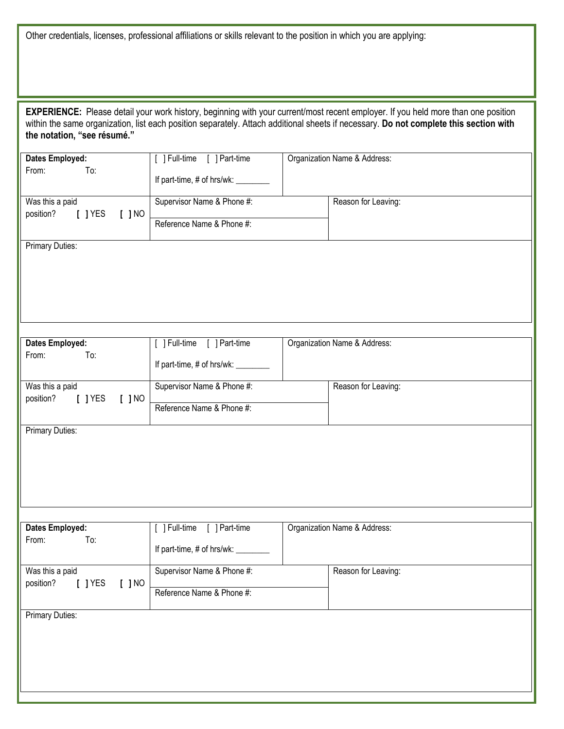Other credentials, licenses, professional affiliations or skills relevant to the position in which you are applying:

| EXPERIENCE: Please detail your work history, beginning with your current/most recent employer. If you held more than one position<br>within the same organization, list each position separately. Attach additional sheets if necessary. Do not complete this section with<br>the notation, "see résumé." |                                                                              |  |                              |  |  |
|-----------------------------------------------------------------------------------------------------------------------------------------------------------------------------------------------------------------------------------------------------------------------------------------------------------|------------------------------------------------------------------------------|--|------------------------------|--|--|
| <b>Dates Employed:</b>                                                                                                                                                                                                                                                                                    | [ ] Full-time<br>[ ] Part-time<br>To:<br>If part-time, # of hrs/wk: ________ |  | Organization Name & Address: |  |  |
| From:                                                                                                                                                                                                                                                                                                     |                                                                              |  |                              |  |  |
| Was this a paid<br>position?<br>$[$ $]$ YES<br>$[$ $]$ NO                                                                                                                                                                                                                                                 | Supervisor Name & Phone #:                                                   |  | Reason for Leaving:          |  |  |
|                                                                                                                                                                                                                                                                                                           | Reference Name & Phone #:                                                    |  |                              |  |  |
| <b>Primary Duties:</b>                                                                                                                                                                                                                                                                                    |                                                                              |  |                              |  |  |
| Dates Employed:                                                                                                                                                                                                                                                                                           | [ ] Part-time<br>[ ] Full-time                                               |  | Organization Name & Address: |  |  |
| From:<br>To:                                                                                                                                                                                                                                                                                              |                                                                              |  |                              |  |  |
|                                                                                                                                                                                                                                                                                                           | If part-time, # of hrs/wk: _________                                         |  |                              |  |  |
| Was this a paid<br>position?<br>$[$ ] YES<br>$[$ $]$ NO                                                                                                                                                                                                                                                   | Supervisor Name & Phone #:                                                   |  | Reason for Leaving:          |  |  |
|                                                                                                                                                                                                                                                                                                           | Reference Name & Phone #:                                                    |  |                              |  |  |
| <b>Primary Duties:</b>                                                                                                                                                                                                                                                                                    |                                                                              |  |                              |  |  |
| <b>Dates Employed:</b>                                                                                                                                                                                                                                                                                    | [ ] Full-time [ ] Part-time                                                  |  | Organization Name & Address: |  |  |
| From:<br>To:                                                                                                                                                                                                                                                                                              | If part-time, # of hrs/wk: ________                                          |  |                              |  |  |
| Was this a paid                                                                                                                                                                                                                                                                                           | Supervisor Name & Phone #:                                                   |  | Reason for Leaving:          |  |  |
| position?<br>$[$ $]$ YES<br>$[$ $]$ NO                                                                                                                                                                                                                                                                    | Reference Name & Phone #:                                                    |  |                              |  |  |
| <b>Primary Duties:</b>                                                                                                                                                                                                                                                                                    |                                                                              |  |                              |  |  |
|                                                                                                                                                                                                                                                                                                           |                                                                              |  |                              |  |  |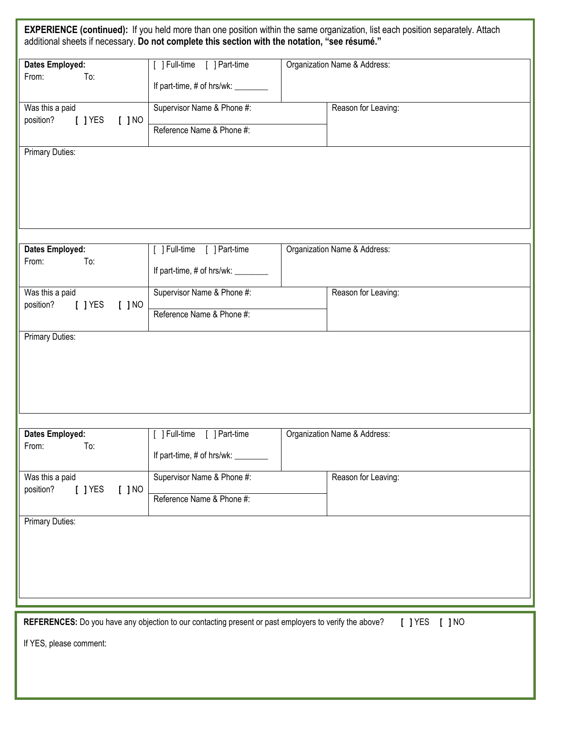|                                                           | additional sheets if necessary. Do not complete this section with the notation, "see résumé."          | <b>EXPERIENCE (continued):</b> If you held more than one position within the same organization, list each position separately. Attach |
|-----------------------------------------------------------|--------------------------------------------------------------------------------------------------------|---------------------------------------------------------------------------------------------------------------------------------------|
| <b>Dates Employed:</b>                                    | [ ] Part-time<br>[ ] Full-time                                                                         | Organization Name & Address:                                                                                                          |
| From:<br>To:                                              | If part-time, # of hrs/wk: ________                                                                    |                                                                                                                                       |
| Was this a paid<br>position?<br>$[$ $]$ YES<br>$[$ $]$ NO | Supervisor Name & Phone #:<br>Reference Name & Phone #:                                                | Reason for Leaving:                                                                                                                   |
| <b>Primary Duties:</b>                                    |                                                                                                        |                                                                                                                                       |
| <b>Dates Employed:</b>                                    | [ ] Full-time<br>[ ] Part-time                                                                         | Organization Name & Address:                                                                                                          |
| From:<br>To:                                              | If part-time, # of hrs/wk: ________                                                                    |                                                                                                                                       |
| Was this a paid<br>position?<br>$[$ $]$ YES<br>$[$ $]$ NO | Supervisor Name & Phone #:<br>Reference Name & Phone #:                                                | Reason for Leaving:                                                                                                                   |
| <b>Primary Duties:</b>                                    |                                                                                                        |                                                                                                                                       |
| Dates Employed:<br>To:<br>From:                           | [ ] Full-time [ ] Part-time<br>If part-time, # of hrs/wk: _                                            | Organization Name & Address:                                                                                                          |
| Was this a paid<br>$[$ $]$ YES<br>position?<br>$[$ $]$ NO | Supervisor Name & Phone #:<br>Reference Name & Phone #:                                                | Reason for Leaving:                                                                                                                   |
| <b>Primary Duties:</b>                                    |                                                                                                        |                                                                                                                                       |
|                                                           |                                                                                                        |                                                                                                                                       |
|                                                           | REFERENCES: Do you have any objection to our contacting present or past employers to verify the above? | $[$ $]$ YES<br>$[$ $]$ NO                                                                                                             |
| If YES, please comment:                                   |                                                                                                        |                                                                                                                                       |